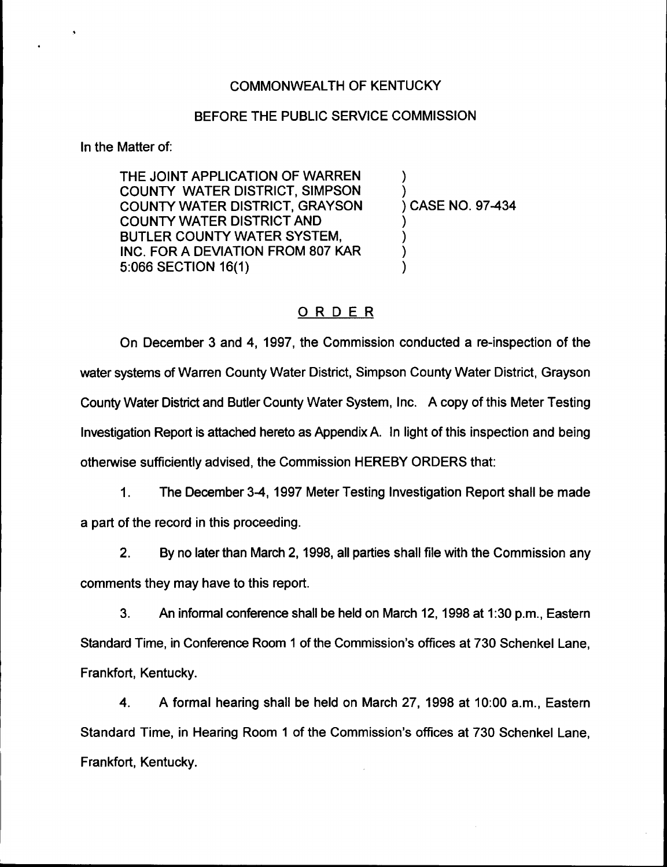# COMMONWEALTH OF KENTUCKY

### BEFORE THE PUBLIC SERVICE COMMISSION

In the Matter of:

THE JOINT APPLICATION OF WARREN COUNTY WATER DISTRICT, SIMPSON COUNTY WATER DISTRICT, GRAYSON COUNTY WATER DISTRICT AND BUTLER COUNTY WATER SYSTEM, INC. FOR A DEVIATION FROM 80? KAR 5:066 SECTION 16(1)

) ) ) CASE NO. 97-434 ) ) )

)

# ORDER

On December 3 and 4, 1997, the Commission conducted a re-inspection of the water systems of Warren County Water District, Simpson County Water District, Grayson County Water District and Butler County Water System, Inc. A copy of this Meter Testing Investigation Report is attached hereto as Appendix A. In light of this inspection and being otherwise sufficiently advised, the Commission HEREBY ORDERS that:

1. The December 3-4, 1997 Meter Testing Investigation Report shall be made a part of the record in this proceeding.

2. By no later than March 2, 1998, all parties shall file with the Commission any comments they may have to this report.

3. An informal conference shall be held on March 12, 1998at 1:30p.m., Eastern Standard Time, in Conference Room <sup>1</sup> of the Commission's offices at 730 Schenkel Lane, Frankfort, Kentucky.

4. A formal hearing shall be held on March 27, 1998 at 10:00 a.m., Eastern Standard Time, in Hearing Room 1 of the Commission's offices at 730 Schenkel Lane, Frankfort, Kentucky.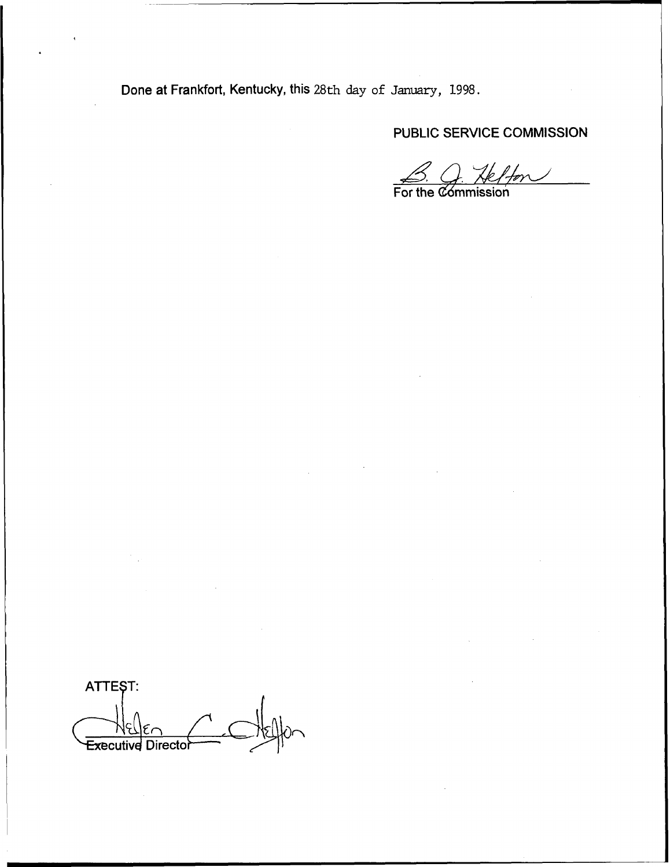Done at Frankfort, Kentucky, this 28th day of January, 1998.

PUBLIC SERVICE COMMISSION

<u>B. O. Helfon</u>

ATTEST: Executive Director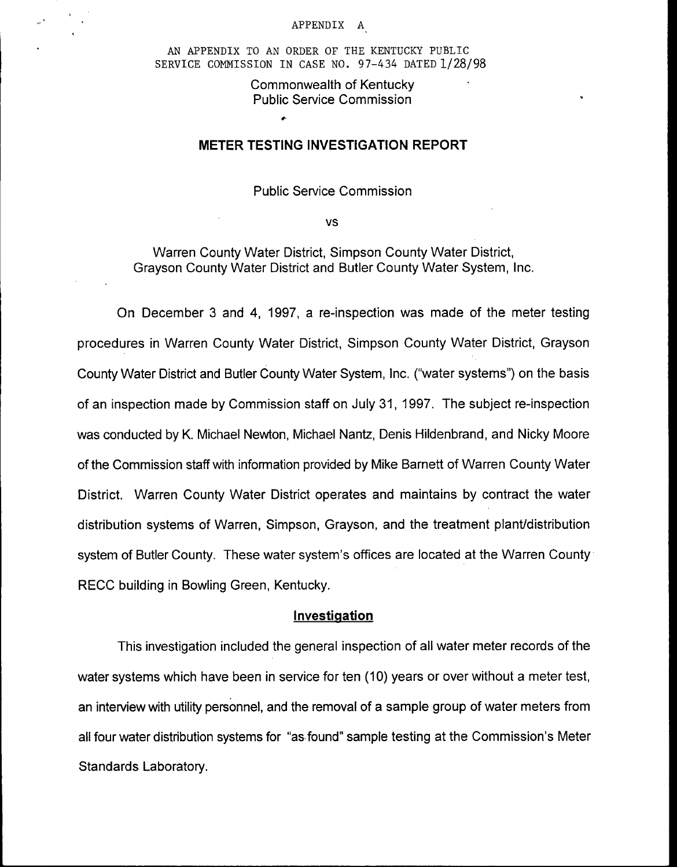#### APPENDIX A

AN APPENDIX TO AN ORDER OF THE KENTUCKY PUBLIC SERVICE COMMISSION IN CASE NO. 97—434 DATED 1/28/98

> Commonwealth of Kentucky Public Service Commission

#### METER TESTlNG INVESTIGATlON REPORT

Public Service Commission

vs

Warren County Water District, Simpson County Water District, Grayson County Water District and Butler County Water System, Inc.

Gn December 3 and 4, 199?, a re-inspection was made of the meter testing procedures in Warren County Water District, Simpson County Water District, Grayson County Water District and Butler County Water System, inc, {"water systems") on the basis of an inspection made by Commission staff on July 31, 199?. The subject re-inspection was conducted by K. Michael Newton, Michael Nantz, Denis Hildenbrand, and Nicky Moore of the Commission staff with information provided by Mike Barnett of Warren County Water District. Warren County Water District operates and maintains by contract the water distribution systems of Warren, Simpson, Grayson, and the treatment plant/distribution system of Butler County. These water system's offices are located at the Warren County RECC building in Bowling Green, Kentucky.

#### Investiaation

This investigation included the general inspection of all water meter records of the water systems which have been in service for ten (10) years or over without a meter test, an interview with utility personnel, and the removal of a sample group of water meters from all four water distribution systems for "as found" sample testing at the Commission's Meter Standards Laboratory.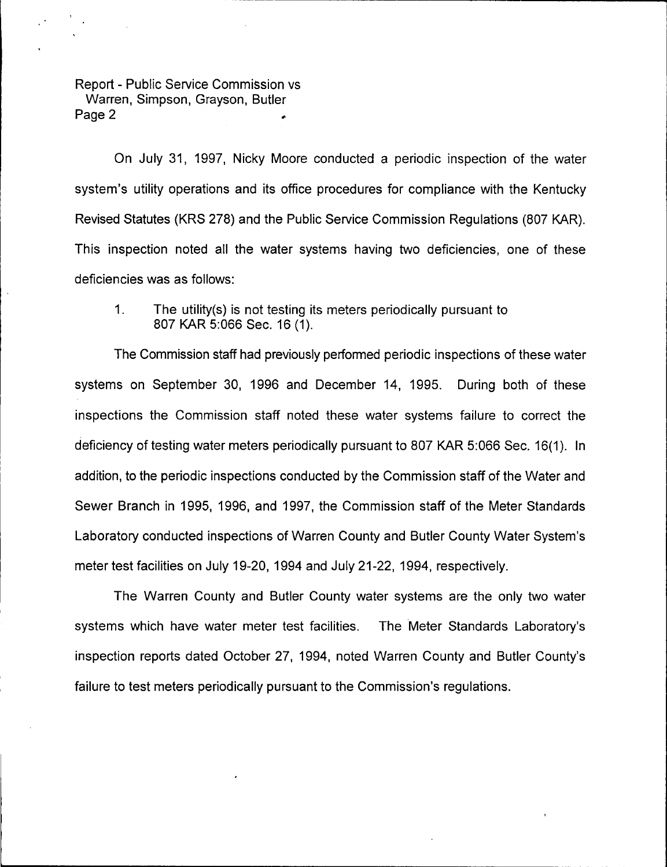On July 31, 1997, Nicky Moore conducted a periodic inspection of the water system's utility operations and its office procedures for compliance with the Kentucky Revised Statutes (KRS 278) and the Public Service Commission Regulations (807 KAR). This inspection noted all the water systems having two deficiencies, one of these deficiencies was as follows:

1. The utility(s) is not testing its meters periodically pursuant to 807 KAR 5:066 Sec. 16 (1).

The Commission staff had previously performed periodic inspections of these water systems on September 30, 1996 and December 14, 1995. During both of these inspections the Commission staff noted these water systems failure to correct the deficiency of testing water meters periodically pursuant to 807 KAR 5:066 Sec. 16(1). In addition, to the periodic inspections conducted by the Commission staff of the Water and Sewer Branch in 1995, 1996, and 1997, the Commission staff of the Meter Standards Laboratory conducted inspections of Warren County and Butler County Water System's meter test facilities on July 19-20, 1994 and July 21-22, 1994, respectively.

The Warren County and Butler County water systems are the only two water systems which have water meter test facilities. The Meter Standards Laboratory's inspection reports dated October 2?, 1994, noted Warren County and Butler County's failure to test meters periodically pursuant to the Commission's regulations.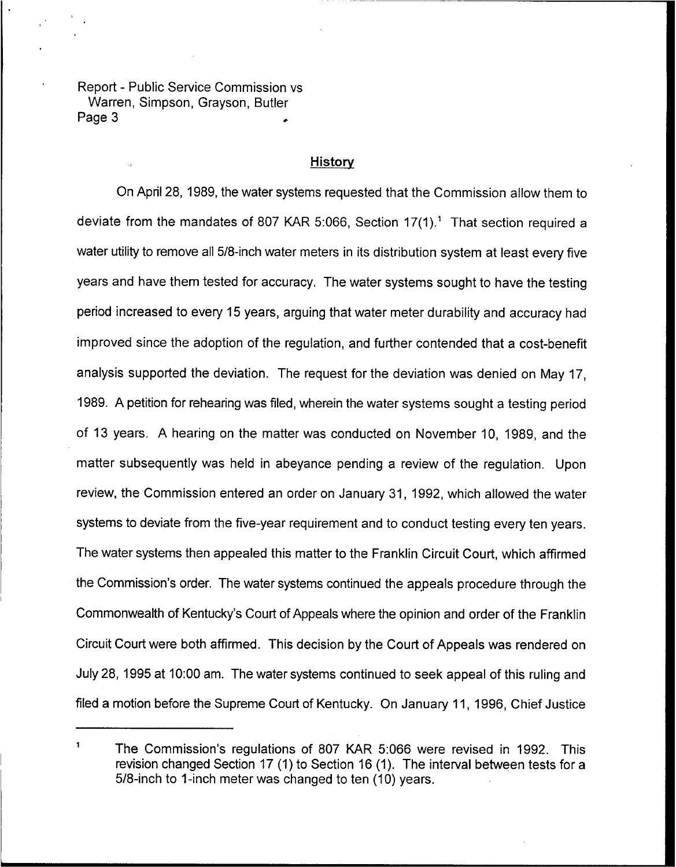## **History**

On April 28, 1989, the water systems requested that the Commission allow them to deviate from the mandates of 807 KAR 5:066, Section 17(1)." That section required a water utility to remove all 5/8-inch water meters in its distribution system at least every five years and have them tested for accuracy. The water systems sought to have the testing period increased to every 15 years, arguing that water meter durability and accuracy had improved since the adoption of the regulation, and further contended that a cost-benefit analysis supported the deviation. The request for the deviation was denied on May 17, 1989. A petition for rehearing was filed, wherein the water systems sought a testing period of 13 years. <sup>A</sup> hearing on the matter was conducted on November 10, 1989, and the matter subsequently was held in abeyance pending a review of the regulation. Upon review, the Commission entered an order on January 31, 1992, which allowed the water systems to deviate from the five-year requirement and to conduct testing every ten years. The water systems then appealed this matter to the Franklin Circuit Court, which affirmed the Commission's order. The water systems continued the appeals procedure through the Commonwealth of Kentucky's Court of Appeals where the opinion and order of the Franklin Circuit Court were both affirmed. This decision by the Court of Appeals was rendered on July 28, 1995 at 10:00 am. The water systems continued to seek appeal of this ruling and filed a motion before the Supreme Court of Kentucky, On January 11, 1996, Chief Justice

 $\blacktriangleleft$ The Commission's regulations of 807 KAR 5:066 were revised in 1992. This revision changed Section 17 (1) to Section 16 (1). The interval between tests for a 5/8-inch to 1-inch meter was changed to ten (10) years.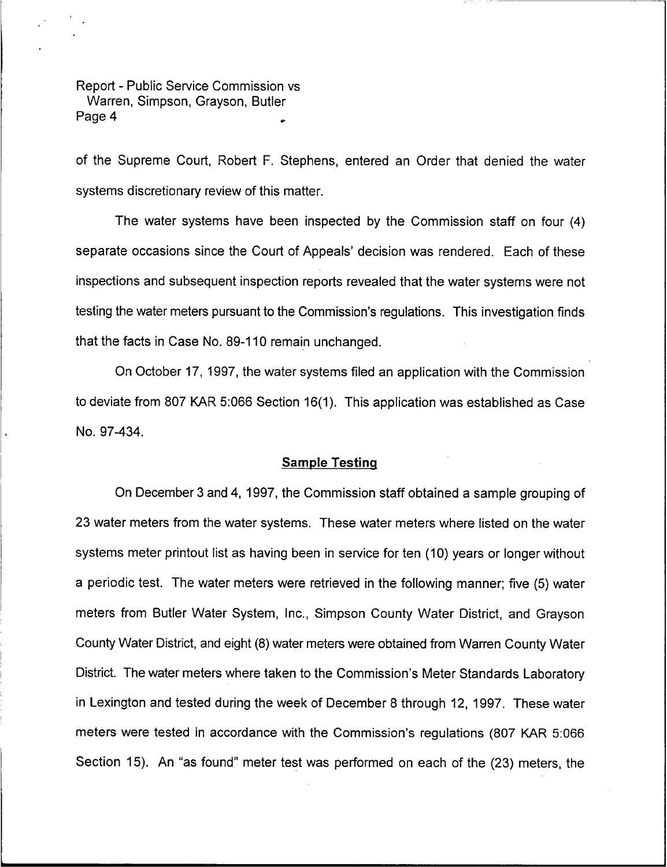of the Supreme Court, Robert F. Stephens, entered an Order that denied the water systems discretionary review of this matter.

The water systems have been inspected by the Commission staff on four (4) separate occasions since the Court of Appeals' decision was rendered. Each of these inspections and subsequent inspection reports revealed that the water systems were not testing the water meters pursuant to the Commission's regulations. This investigation finds that the facts in Case No. 89-110 remain unchanged.

On October 17, 1997, the water systems filed an application with the Commission to deviate from 807 KAR 5:066 Section 16(1). This application was established as Case No. 97-434.

#### Sample Testing

On December 3 and 4, 1997, the Commission staff obtained a sample grouping of 23 water meters from the water systems. These water meters where listed on the water systems meter printout list as having been in service for ten (10) years or longer without a periodic test. The water meters were retrieved in the following manner; five (5) water meters from Butler Water System, Inc., Simpson County Water District, and Grayson County Water District, and eight (8) water meters were obtained from Warren County Water District. The water meters where taken to the Commission's Meter Standards Laboratory in Lexington and tested during the week of December 8 through 12, 1997. These water meters were tested in accordance with the Commission's regulations (807 KAR 5:066 Section 15). An "as found" meter test was performed on each of the (23) meters, the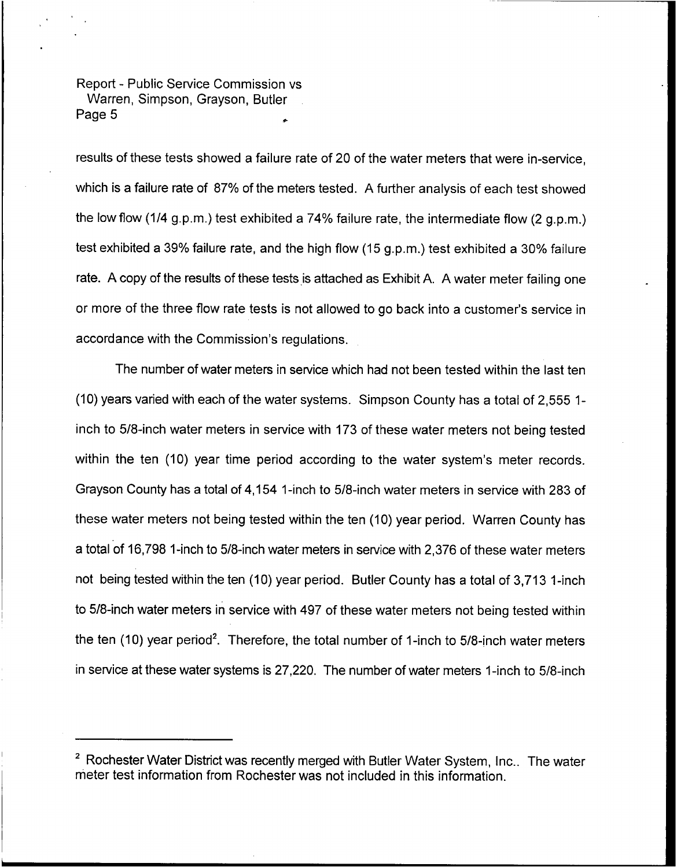results of these tests showed a failure rate of 20 of the water meters that were in-service, which is a failure rate of 87% of the meters tested. A further analysis of each test showed the low flow (1/4 g.p.m.) test exhibited a 74% failure rate, the intermediate flow (2 g.p.m.) test exhibited a 39% failure rate, and the high flow (15 g.p.m.) test exhibited a 30% failure rate. A copy of the results of these tests is attached as Exhibit A. A water meter failing one or more of the three flow rate tests is not allowed to go back into a customer's service in accordance with the Commission's regulations.

The number of water meters in service which had not been tested within the last ten (10) years varied with each of the water systems. Simpson County has a total of 2,555 1 inch to 5/8-inch water meters in service with 173 of these water meters not being tested within the ten (10) year time period according to the water system's meter records. Grayson County has a total of 4,154 1-inch to 5/8-inch water meters in service with 283 of these water meters not being tested within the ten (10) year period. Warren County has a total of 16,798 1-inch to 5/8-inch water meters in service with 2,376 of these water meters not being tested within the ten (10) year period. Butler County has a total of 3,713 1-inch to 5/8-inch water meters in service with 497 of these water meters not being tested within the ten (10) year period'. Therefore, the total number of 1-inch to 5/8-inch water meters in service at these water systems is 27,220. The number of water meters 1-inch to 5/8-inch

<sup>&</sup>lt;sup>2</sup> Rochester Water District was recently merged with Butler Water System, Inc.. The water meter test information from Rochester was not included in this information.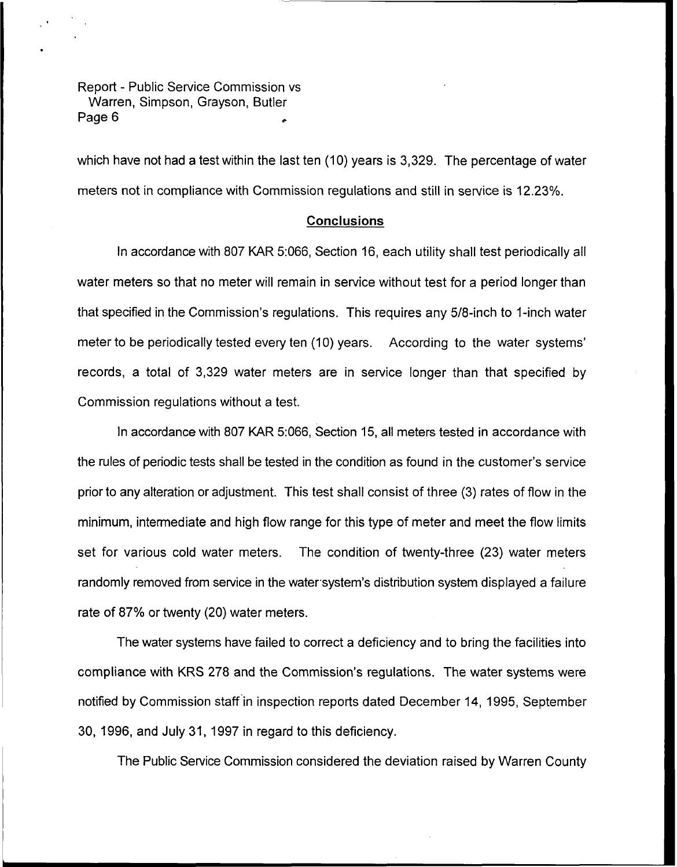which have not had a test within the last ten (10) years is 3,329. The percentage of water meters not in compliance with Commission regulations and still in service is 12.23%.

### Conclusions

In accordance with 807 KAR 5:066, Section 16, each utility shall test periodically all water meters so that no meter will remain in service without test for a period longer than that specified in the Commission's regulations. This requires any 5/8-inch to 1-inch water meter to be periodically tested every ten (10) years. According to the water systems' records, a total of 3,329 water meters are in service longer than that specified by Commission regulations without a test.

ln accordance with 807 KAR 5:066, Section 15, all meters tested in accordance with the rules of periodic tests shall be tested in the condition as found in the customer's service prior to any alteration or adjustment. This test shall consist of three (3) rates of flow in the minimum, intermediate and high flow range for this type of meter and meet the flow limits set for various cold water meters. The condition of twenty-three (23) water meters randomly removed from service in the water system's distribution system displayed a failure rate of 87% or twenty (20) water meters.

The water systems have failed to correct a deficiency and to bring the facilities into compliance with KRS 278 and the Commission's regulations. The water systems were notified by Commission staff in inspection reports dated December 14, 1995, September 30, 1996, and July 31, 1997 in regard to this deficiency.

The Public Service Commission considered the deviation raised by Warren County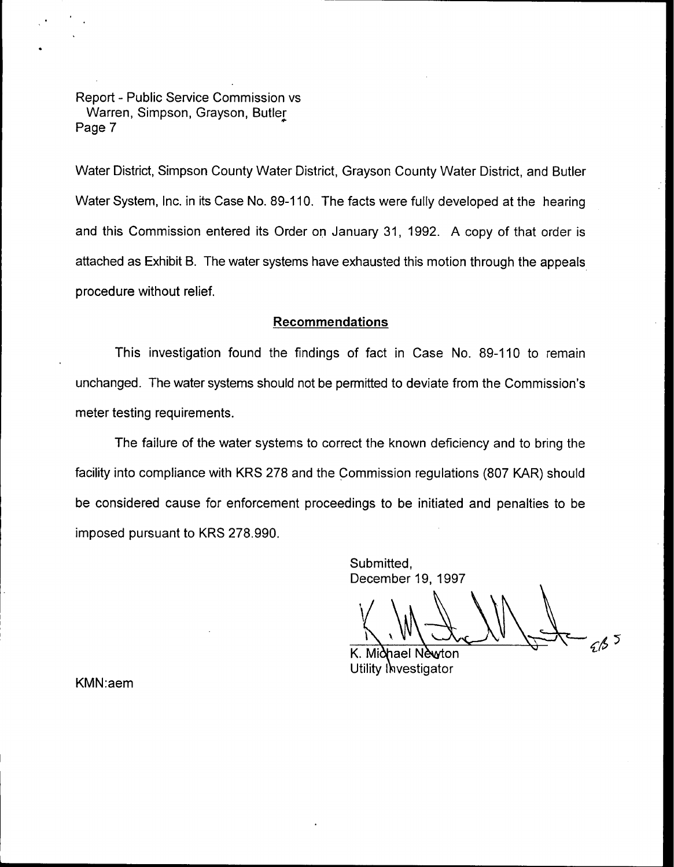Water District, Simpson County Water District, Grayson County Water District, and Butler Water System, Inc. in its Case No. 89-110. The facts were fully developed at the hearing and this Commission entered its Order on January 31, 1992. A copy of that order is attached as Exhibit B. The water systems have exhausted this motion through the appeals procedure without relief.

## Recommendations

This investigation found the findings of fact in Case No. 89-110 to remain unchanged. The water systems should not be permitted to deviate from the Commission's meter testing requirements.

The failure of the water systems to correct the known deficiency and to bring the facility into compliance with KRS 278 and the Commission regulations (807 KAR} should be considered cause for enforcement proceedings to be initiated and penalties to be imposed pursuant to KRS 278.990.

> Submitted, December 19, 1997

K. Miðhael Nèwton Utility Investigator

KMN:aem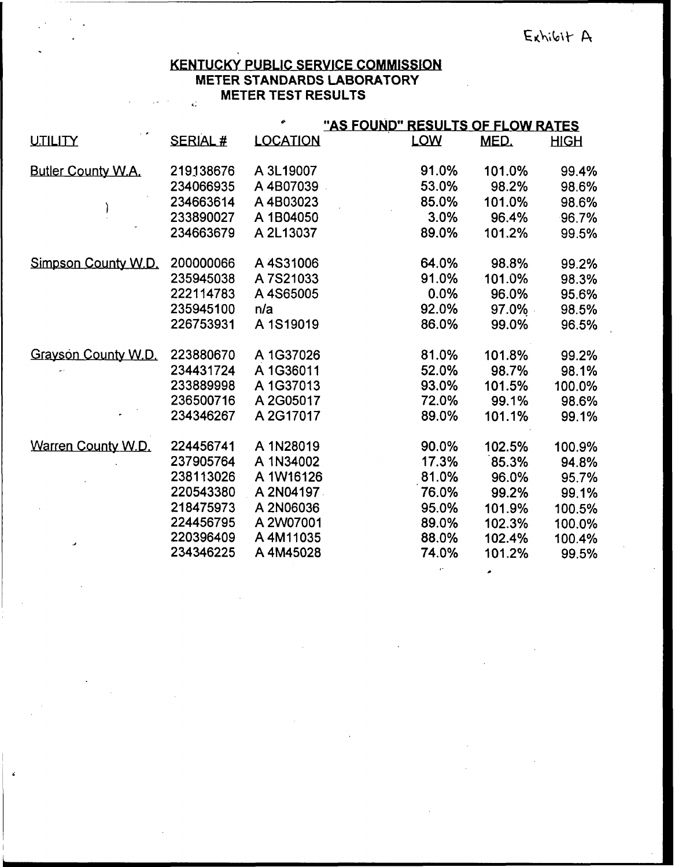### KENTUCKY PUBLIC SERVICE COMMISSION **METER STANDARDS LABORATORY METER TEST RESULTS** L.

|                     |                | ۰               |            | "AS FOUND" RESULTS OF FLOW RATES |             |  |
|---------------------|----------------|-----------------|------------|----------------------------------|-------------|--|
| UTILITY             | <b>SERIAL#</b> | <b>LOCATION</b> | <b>LOW</b> | MED.                             | <b>HIGH</b> |  |
| Butler County W.A.  | 219138676      | A 3L19007       | 91.0%      | 101.0%                           | 99.4%       |  |
|                     | 234066935      | A4B07039        | 53.0%      | 98.2%                            | 98.6%       |  |
|                     | 234663614      | A4B03023        | 85.0%      | 101.0%                           | 98.6%       |  |
|                     | 233890027      | A 1B04050       | 3.0%       | 96.4%                            | 96.7%       |  |
|                     | 234663679      | A 2L13037       | 89.0%      | 101.2%                           | 99.5%       |  |
| Simpson County W.D. | 200000066      | A4S31006        | 64.0%      | 98.8%                            | 99.2%       |  |
|                     | 235945038      | A 7S21033       | 91.0%      | 101.0%                           | 98.3%       |  |
|                     | 222114783      | A4S65005        | 0.0%       | 96.0%                            | 95.6%       |  |
|                     | 235945100      | n/a             | 92.0%      | 97.0%                            | 98.5%       |  |
|                     | 226753931      | A 1S19019       | 86.0%      | 99.0%                            | 96.5%       |  |
| Grayson County W.D. | 223880670      | A 1G37026       | 81.0%      | 101.8%                           | 99.2%       |  |
|                     | 234431724      | A 1G36011       | 52.0%      | 98.7%                            | 98.1%       |  |
|                     | 233889998      | A 1G37013       | 93.0%      | 101.5%                           | 100.0%      |  |
|                     | 236500716      | A 2G05017       | 72.0%      | 99.1%                            | 98.6%       |  |
|                     | 234346267      | A 2G17017       | 89.0%      | 101.1%                           | 99.1%       |  |
| Warren County W.D.  | 224456741      | A 1N28019       | 90.0%      | 102.5%                           | 100.9%      |  |
|                     | 237905764      | A 1N34002       | 17.3%      | 85.3%                            | 94.8%       |  |
|                     | 238113026      | A 1W16126       | 81.0%      | 96.0%                            | 95.7%       |  |
|                     | 220543380      | A 2N04197       | 76.0%      | 99.2%                            | 99.1%       |  |
|                     | 218475973      | A 2N06036       | 95.0%      | 101.9%                           | 100.5%      |  |
|                     | 224456795      | A 2W07001       | 89.0%      | 102.3%                           | 100.0%      |  |
| J                   | 220396409      | A 4M11035       | 88.0%      | 102.4%                           | 100.4%      |  |
|                     | 234346225      | A 4M45028       | 74.0%      | 101.2%                           | 99.5%       |  |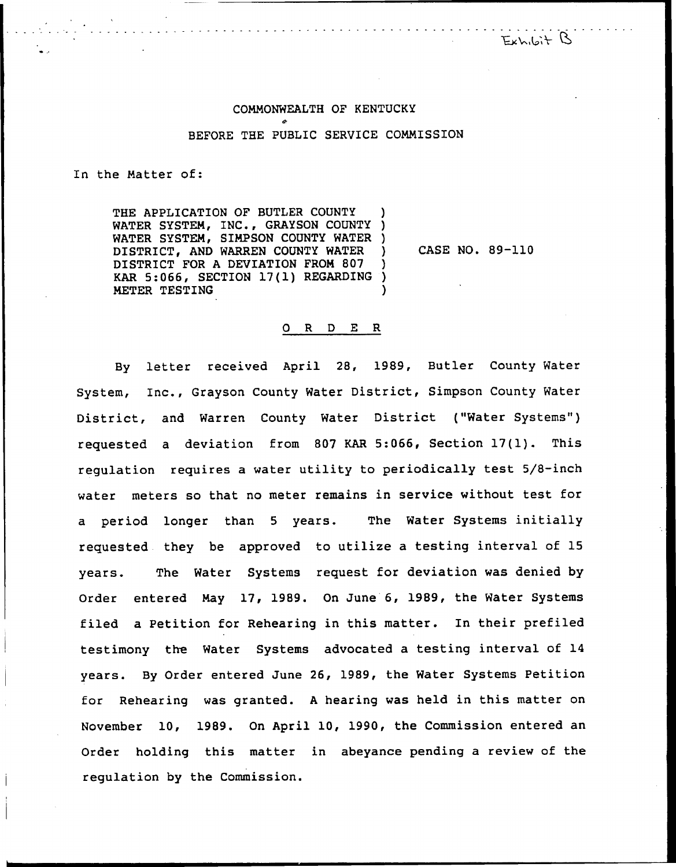Exhibit B

# COMMONWEALTH OF KENTUCKY BEFORE THE PUBLIC SERVICE COMMISSION

In the Matter of:

THE APPLICATION OF BUTLER COUNTY WATER SYSTEM, INC., GRAYSON COUNTY ) WATER SYSTEM, SIMPSON COUNTY WATER )<br>DISTRICT, AND WARREN COUNTY WATER ) DISTRICT, AND WARREN COUNTY WATER DISTRICT FOR <sup>A</sup> DEVIATION FROM 807 ) KAR 5:066, SECTION 17(1) REGARDING ) METER TESTING )

CASE NO. 89-110

#### 0 <sup>R</sup> <sup>D</sup> E R

By letter received April 28, 1989, Butler County Water System, Inc., Grayson County Water District, Simpson County Water District, and Warren County Water District ("Water Systems") requested <sup>a</sup> deviation from <sup>807</sup> KAR 5:066, Section 17(l). This regulation requires a water utility to periodically test 5/8-inch water meters so that no meter remains in service without test for a period longer than <sup>5</sup> years. The Water Systems initially requested they be approved to utilize a testing interval of 15 years. The Water Systems request for deviation was denied by Order entered May 17, 1989. On June 6, 1989, the Water Systems filed a Petition for Rehearing in this matter. In their prefiled testimony the Water Systems advocated a testing interval of 14 years. By Order entered June 26, 1989, the Water Systems Petition for Rehearing was granted. <sup>A</sup> hearing was held in this matter on November 10, 1989. On April 10, 1990, the Commission entered an Order holding this matter in abeyance pending a review of the regulation by the Commission.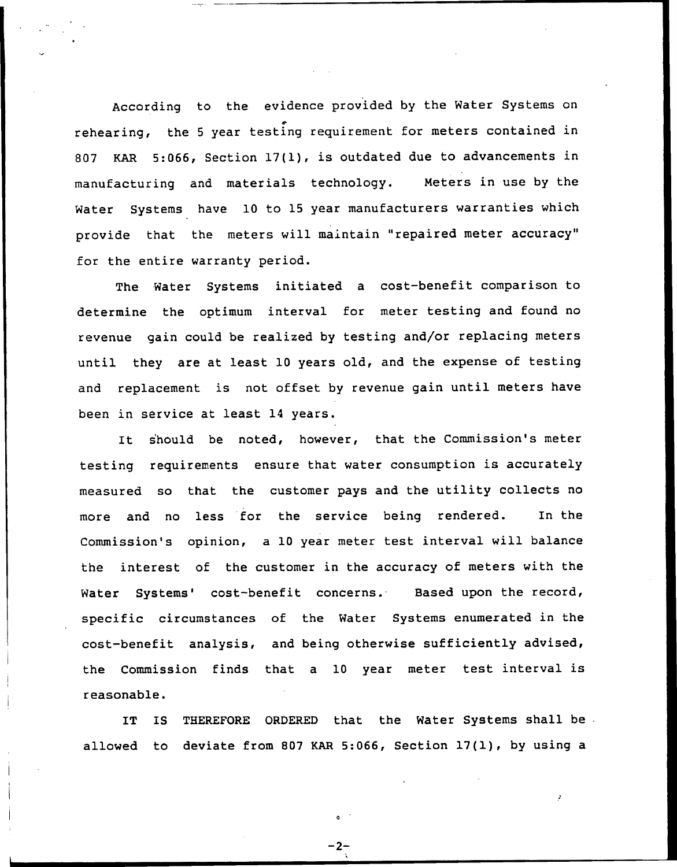According to the evidence provided by the Water Systems on rehearing, the <sup>5</sup> year testing requirement for meters contained in 807 KAR 5:066, Section 17(1), is outdated due to advancements in manufacturing and materials technology. Meters in use by the Water Systems have 10 to 15 year manufacturers warranties which provide that the meters will maintain "repaired meter accuracy" for the entire warranty period.

The Water Systems initiated a cost-benefit comparison to determine the optimum interval for meter testing and found no revenue gain could be realized by testing and/or replacing meters until they are at least 10 years old, and the expense of testing and replacement is not offset by revenue gain until meters have been in service at least 14 years.

It s'hould be noted, however, that the Commission's meter testing requirements ensure that water consumption is accurately measured so that the customer pays and the utility collects no more and no less for the service being rendered. In the Commission's opinion, a 10 year meter test interval will balance the interest of the customer in the accuracy of meters with the Water Systems' cost-benefit concerns. Based upon the record, specific circumstances of the Water Systems enumerated in the cost-benefit analysis, and being otherwise sufficiently advised, the Commission finds that a 10 year meter test interval is reasonable.

IT IS THEREFORE ORDERED that the Water Systems shall be allowed to deviate from 807 KAR 5:066, Section 17(1), by using a

-2-